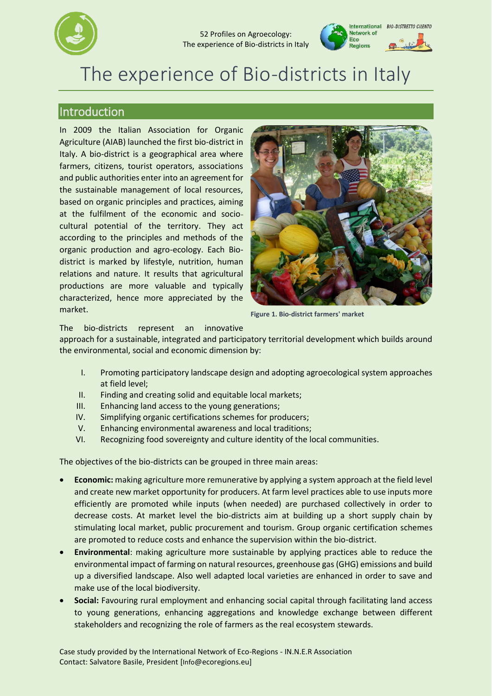

#### 52 Profiles on Agroecology: The experience of Bio-districts in Italy



# The experience of Bio-districts in Italy

## Introduction

In 2009 the Italian Association for Organic Agriculture (AIAB) launched the first bio-district in Italy. A bio-district is a geographical area where farmers, citizens, tourist operators, associations and public authorities enter into an agreement for the sustainable management of local resources, based on organic principles and practices, aiming at the fulfilment of the economic and sociocultural potential of the territory. They act according to the principles and methods of the organic production and agro-ecology. Each Biodistrict is marked by lifestyle, nutrition, human relations and nature. It results that agricultural productions are more valuable and typically characterized, hence more appreciated by the market.



**Figure 1. Bio-district farmers' market**

The bio-districts represent an innovative

approach for a sustainable, integrated and participatory territorial development which builds around the environmental, social and economic dimension by:

- I. Promoting participatory landscape design and adopting agroecological system approaches at field level;
- II. Finding and creating solid and equitable local markets;
- III. Enhancing land access to the young generations;
- IV. Simplifying organic certifications schemes for producers;
- V. Enhancing environmental awareness and local traditions;
- VI. Recognizing food sovereignty and culture identity of the local communities.

The objectives of the bio-districts can be grouped in three main areas:

- **Economic:** making agriculture more remunerative by applying a system approach at the field level and create new market opportunity for producers. At farm level practices able to use inputs more efficiently are promoted while inputs (when needed) are purchased collectively in order to decrease costs. At market level the bio-districts aim at building up a short supply chain by stimulating local market, public procurement and tourism. Group organic certification schemes are promoted to reduce costs and enhance the supervision within the bio-district.
- **Environmental**: making agriculture more sustainable by applying practices able to reduce the environmental impact of farming on natural resources, greenhouse gas (GHG) emissions and build up a diversified landscape. Also well adapted local varieties are enhanced in order to save and make use of the local biodiversity.
- **Social:** Favouring rural employment and enhancing social capital through facilitating land access to young generations, enhancing aggregations and knowledge exchange between different stakeholders and recognizing the role of farmers as the real ecosystem stewards.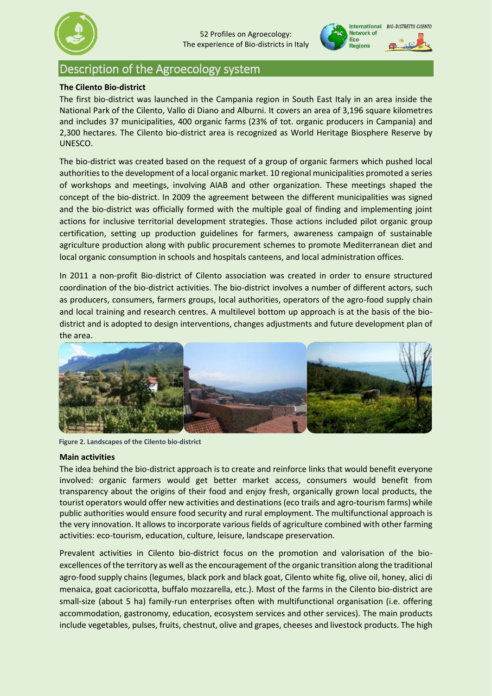



# Description of the Agroecology system

## **The Cilento Bio-district**

The first bio-district was launched in the Campania region in South East Italy in an area inside the National Park of the Cilento, Vallo di Diano and Alburni. It covers an area of 3,196 square kilometres and includes 37 municipalities, 400 organic farms (23% of tot. organic producers in Campania) and 2,300 hectares. The Cilento bio-district area is recognized as World Heritage Biosphere Reserve by UNESCO.

The bio-district was created based on the request of a group of organic farmers which pushed local authorities to the development of a local organic market. 10 regional municipalities promoted a series of workshops and meetings, involving AIAB and other organization. These meetings shaped the concept of the bio-district. In 2009 the agreement between the different municipalities was signed and the bio-district was officially formed with the multiple goal of finding and implementing joint actions for inclusive territorial development strategies. Those actions included pilot organic group certification, setting up production guidelines for farmers, awareness campaign of sustainable agriculture production along with public procurement schemes to promote Mediterranean diet and local organic consumption in schools and hospitals canteens, and local administration offices.

In 2011 a non-profit Bio-district of Cilento association was created in order to ensure structured coordination of the bio-district activities. The bio-district involves a number of different actors, such as producers, consumers, farmers groups, local authorities, operators of the agro-food supply chain and local training and research centres. A multilevel bottom up approach is at the basis of the biodistrict and is adopted to design interventions, changes adjustments and future development plan of the area.



**Figure 2. Landscapes of the Cilento bio-district**

## **Main activities**

The idea behind the bio-district approach is to create and reinforce links that would benefit everyone involved: organic farmers would get better market access, consumers would benefit from transparency about the origins of their food and enjoy fresh, organically grown local products, the tourist operators would offer new activities and destinations (eco trails and agro-tourism farms) while public authorities would ensure food security and rural employment. The multifunctional approach is the very innovation. It allows to incorporate various fields of agriculture combined with other farming activities: eco-tourism, education, culture, leisure, landscape preservation.

Prevalent activities in Cilento bio-district focus on the promotion and valorisation of the bioexcellences of the territory as well as the encouragement of the organic transition along the traditional agro-food supply chains (legumes, black pork and black goat, Cilento white fig, olive oil, honey, alici di menaica, goat cacioricotta, buffalo mozzarella, etc.). Most of the farms in the Cilento bio-district are small-size (about 5 ha) family-run enterprises often with multifunctional organisation (i.e. offering accommodation, gastronomy, education, ecosystem services and other services). The main products include vegetables, pulses, fruits, chestnut, olive and grapes, cheeses and livestock products. The high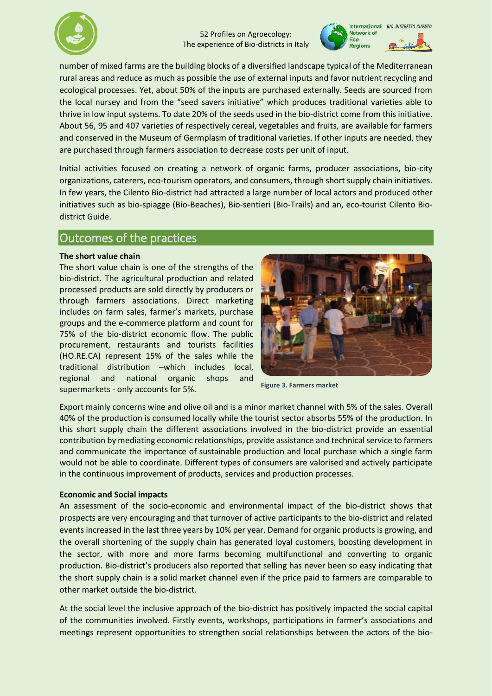



number of mixed farms are the building blocks of a diversified landscape typical of the Mediterranean rural areas and reduce as much as possible the use of external inputs and favor nutrient recycling and ecological processes. Yet, about 50% of the inputs are purchased externally. Seeds are sourced from the local nursey and from the "seed savers initiative" which produces traditional varieties able to thrive in low input systems. To date 20% of the seeds used in the bio-district come from this initiative. About 56, 95 and 407 varieties of respectively cereal, vegetables and fruits, are available for farmers and conserved in the Museum of Germplasm of traditional varieties. If other inputs are needed, they are purchased through farmers association to decrease costs per unit of input.

Initial activities focused on creating a network of organic farms, producer associations, bio-city organizations, caterers, eco-tourism operators, and consumers, through short supply chain initiatives. In few years, the Cilento Bio-district had attracted a large number of local actors and produced other initiatives such as bio-spiagge (Bio-Beaches), Bio-sentieri (Bio-Trails) and an, eco-tourist Cilento Biodistrict Guide.

## Outcomes of the practices

## **The short value chain**

The short value chain is one of the strengths of the bio-district. The agricultural production and related processed products are sold directly by producers or through farmers associations. Direct marketing includes on farm sales, farmer's markets, purchase groups and the e-commerce platform and count for 75% of the bio-district economic flow. The public procurement, restaurants and tourists facilities (HO.RE.CA) represent 15% of the sales while the traditional distribution –which includes local, regional and national organic shops and supermarkets - only accounts for 5%.



**Figure 3. Farmers market**

Export mainly concerns wine and olive oil and is a minor market channel with 5% of the sales. Overall 40% of the production is consumed locally while the tourist sector absorbs 55% of the production. In this short supply chain the different associations involved in the bio-district provide an essential contribution by mediating economic relationships, provide assistance and technical service to farmers and communicate the importance of sustainable production and local purchase which a single farm would not be able to coordinate. Different types of consumers are valorised and actively participate in the continuous improvement of products, services and production processes.

## **Economic and Social impacts**

An assessment of the socio-economic and environmental impact of the bio-district shows that prospects are very encouraging and that turnover of active participants to the bio-district and related events increased in the last three years by 10% per year. Demand for organic products is growing, and the overall shortening of the supply chain has generated loyal customers, boosting development in the sector, with more and more farms becoming multifunctional and converting to organic production. Bio-district's producers also reported that selling has never been so easy indicating that the short supply chain is a solid market channel even if the price paid to farmers are comparable to other market outside the bio-district.

At the social level the inclusive approach of the bio-district has positively impacted the social capital of the communities involved. Firstly events, workshops, participations in farmer's associations and meetings represent opportunities to strengthen social relationships between the actors of the bio-